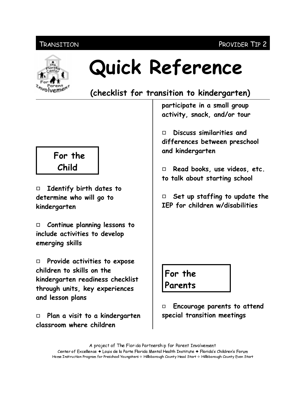#### PROVIDER TIP 2

#### Transition



# Quick Reference

(checklist for transition to kindergarten)

participate in a small group activity, snack, and/or tour

Discuss similarities and  $\Box$ differences between preschool and kindergarten

Read books, use videos, etc.  $\Box$ to talk about starting school

 $\Box$  Set up staffing to update the IEP for children w/disabilities

For the Parents

Encourage parents to attend о special transition meetings

A project of The Florida Partnership for Parent Involvement Center of Excellence ♦ Louis de la Parte Florida Mental Health Institute ♦ Florida's Children's Forum Home Instruction Program for Preschool Youngsters & Hillsborough County Head Start & Hillsborough County Even Start

## For the Child

 $\Box$  Identify birth dates to determine who will go to kindergarten

 $\Box$ Continue planning lessons to include activities to develop emerging skills

 $\Box$  Provide activities to expose children to skills on the kindergarten readiness checklist through units, key experiences and lesson plans

 $\Box$  Plan a visit to a kindergarten classroom where children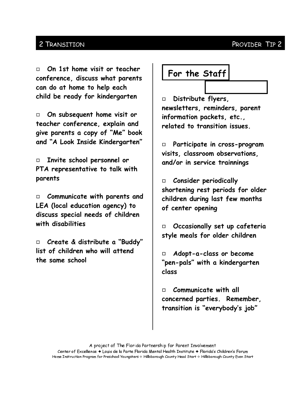#### PROVIDER TIP 2

#### 2 TRANSITION

On 1st home visit or teacher  $\Box$ conference, discuss what parents can do at home to help each child be ready for kindergarten

On subsequent home visit or  $\Box$ teacher conference, explain and give parents a copy of "Me" book and "A Look Inside Kindergarten"

Invite school personnel or  $\Box$ PTA representative to talk with parents

Communicate with parents and  $\Box$ LEA (local education agency) to discuss special needs of children with disabilities

Create & distribute a "Buddy"  $\Box$ list of children who will attend the same school

# For the Staff

Distribute flyers,  $\Box$ newsletters, reminders, parent information packets, etc., related to transition issues.

Participate in cross-program  $\Box$ visits, classroom observations, and/or in service trainnings

**Consider periodically**  $\Box$ shortening rest periods for older children during last few months of center opening

 $\Box$  Occasionally set up cafeteria style meals for older children

Adopt-a-class or become  $\Box$ "pen-pals" with a kindergarten class

Communicate with all  $\Box$ concerned parties. Remember. transition is "everybody's job"

Center of Excellence ♦ Louis de la Parte Florida Mental Health Institute ♦ Florida's Children's Forum Home Instruction Program for Preschool Youngsters & Hillsborough County Head Start & Hillsborough County Even Start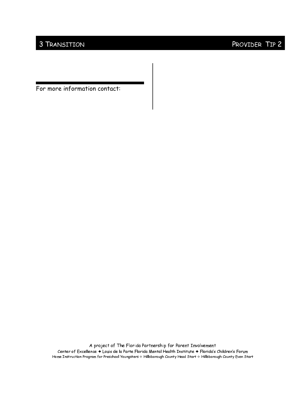### 3 TRANSITION PROVIDER TIP 2

For more information contact:

A project of The Florida Partnership for Parent Involvement Center of Excellence  $\blacklozenge$  Louis de la Parte Florida Mental Health Institute  $\blacklozenge$  Florida's Children's Forum Home Instruction Program for Preschool Youngsters  $\diamond$  Hillsborough County Head Start  $\diamond$  Hillsborough County Even Start